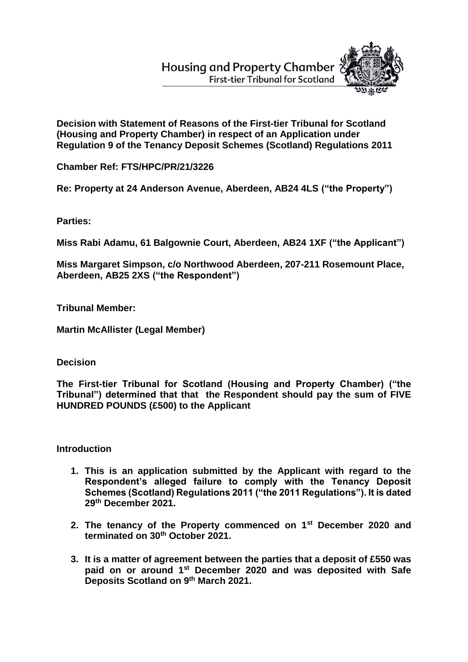**Housing and Property Chamber First-tier Tribunal for Scotland** 



**Decision with Statement of Reasons of the First-tier Tribunal for Scotland (Housing and Property Chamber) in respect of an Application under Regulation 9 of the Tenancy Deposit Schemes (Scotland) Regulations 2011**

**Chamber Ref: FTS/HPC/PR/21/3226**

**Re: Property at 24 Anderson Avenue, Aberdeen, AB24 4LS ("the Property")**

**Parties:**

**Miss Rabi Adamu, 61 Balgownie Court, Aberdeen, AB24 1XF ("the Applicant")**

**Miss Margaret Simpson, c/o Northwood Aberdeen, 207-211 Rosemount Place, Aberdeen, AB25 2XS ("the Respondent")** 

**Tribunal Member:**

**Martin McAllister (Legal Member)**

**Decision**

**The First-tier Tribunal for Scotland (Housing and Property Chamber) ("the Tribunal") determined that that the Respondent should pay the sum of FIVE HUNDRED POUNDS (£500) to the Applicant**

**Introduction**

- **1. This is an application submitted by the Applicant with regard to the Respondent's alleged failure to comply with the Tenancy Deposit Schemes (Scotland) Regulations 2011 ("the 2011 Regulations"). It is dated 29th December 2021.**
- **2. The tenancy of the Property commenced on 1st December 2020 and terminated on 30th October 2021.**
- **3. It is a matter of agreement between the parties that a deposit of £550 was paid on or around 1st December 2020 and was deposited with Safe Deposits Scotland on 9th March 2021.**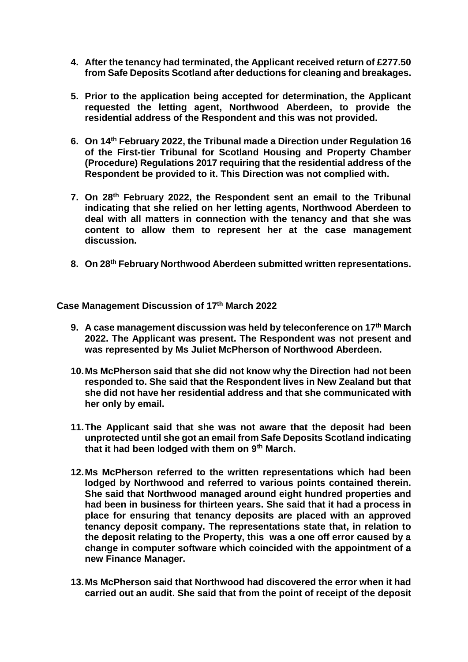- **4. After the tenancy had terminated, the Applicant received return of £277.50 from Safe Deposits Scotland after deductions for cleaning and breakages.**
- **5. Prior to the application being accepted for determination, the Applicant requested the letting agent, Northwood Aberdeen, to provide the residential address of the Respondent and this was not provided.**
- **6. On 14th February 2022, the Tribunal made a Direction under Regulation 16 of the First-tier Tribunal for Scotland Housing and Property Chamber (Procedure) Regulations 2017 requiring that the residential address of the Respondent be provided to it. This Direction was not complied with.**
- **7. On 28th February 2022, the Respondent sent an email to the Tribunal indicating that she relied on her letting agents, Northwood Aberdeen to deal with all matters in connection with the tenancy and that she was content to allow them to represent her at the case management discussion.**
- **8. On 28th February Northwood Aberdeen submitted written representations.**

**Case Management Discussion of 17th March 2022**

- **9. A case management discussion was held by teleconference on 17th March 2022. The Applicant was present. The Respondent was not present and was represented by Ms Juliet McPherson of Northwood Aberdeen.**
- **10.Ms McPherson said that she did not know why the Direction had not been responded to. She said that the Respondent lives in New Zealand but that she did not have her residential address and that she communicated with her only by email.**
- **11.The Applicant said that she was not aware that the deposit had been unprotected until she got an email from Safe Deposits Scotland indicating that it had been lodged with them on 9th March.**
- **12.Ms McPherson referred to the written representations which had been lodged by Northwood and referred to various points contained therein. She said that Northwood managed around eight hundred properties and had been in business for thirteen years. She said that it had a process in place for ensuring that tenancy deposits are placed with an approved tenancy deposit company. The representations state that, in relation to the deposit relating to the Property, this was a one off error caused by a change in computer software which coincided with the appointment of a new Finance Manager.**
- **13.Ms McPherson said that Northwood had discovered the error when it had carried out an audit. She said that from the point of receipt of the deposit**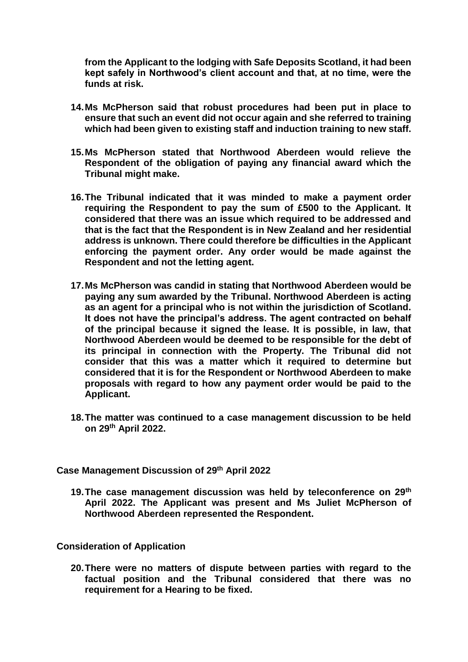**from the Applicant to the lodging with Safe Deposits Scotland, it had been kept safely in Northwood's client account and that, at no time, were the funds at risk.**

- **14.Ms McPherson said that robust procedures had been put in place to ensure that such an event did not occur again and she referred to training which had been given to existing staff and induction training to new staff.**
- **15.Ms McPherson stated that Northwood Aberdeen would relieve the Respondent of the obligation of paying any financial award which the Tribunal might make.**
- **16.The Tribunal indicated that it was minded to make a payment order requiring the Respondent to pay the sum of £500 to the Applicant. It considered that there was an issue which required to be addressed and that is the fact that the Respondent is in New Zealand and her residential address is unknown. There could therefore be difficulties in the Applicant enforcing the payment order. Any order would be made against the Respondent and not the letting agent.**
- **17.Ms McPherson was candid in stating that Northwood Aberdeen would be paying any sum awarded by the Tribunal. Northwood Aberdeen is acting as an agent for a principal who is not within the jurisdiction of Scotland. It does not have the principal's address. The agent contracted on behalf of the principal because it signed the lease. It is possible, in law, that Northwood Aberdeen would be deemed to be responsible for the debt of its principal in connection with the Property. The Tribunal did not consider that this was a matter which it required to determine but considered that it is for the Respondent or Northwood Aberdeen to make proposals with regard to how any payment order would be paid to the Applicant.**
- **18.The matter was continued to a case management discussion to be held on 29th April 2022.**

### **Case Management Discussion of 29th April 2022**

**19.The case management discussion was held by teleconference on 29th April 2022. The Applicant was present and Ms Juliet McPherson of Northwood Aberdeen represented the Respondent.**

### **Consideration of Application**

**20.There were no matters of dispute between parties with regard to the factual position and the Tribunal considered that there was no requirement for a Hearing to be fixed.**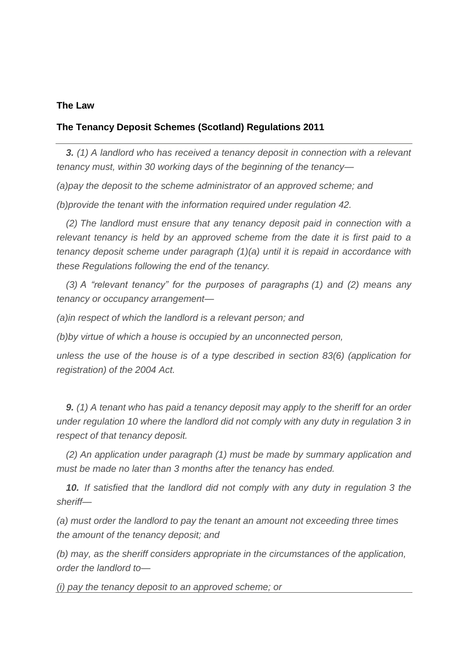### **The Law**

# **The Tenancy Deposit Schemes (Scotland) Regulations 2011**

*3. (1) A landlord who has received a tenancy deposit in connection with a relevant tenancy must, within 30 working days of the beginning of the tenancy—*

*(a)pay the deposit to the scheme administrator of an approved scheme; and*

*(b)provide the tenant with the information required under regulation 42.*

*(2) The landlord must ensure that any tenancy deposit paid in connection with a relevant tenancy is held by an approved scheme from the date it is first paid to a tenancy deposit scheme under paragraph (1)(a) until it is repaid in accordance with these Regulations following the end of the tenancy.* 

*(3) A "relevant tenancy" for the purposes of paragraphs (1) and (2) means any tenancy or occupancy arrangement—*

*(a)in respect of which the landlord is a relevant person; and*

*(b)by virtue of which a house is occupied by an unconnected person,*

*unless the use of the house is of a type described in section 83(6) (application for registration) of the 2004 Act.* 

*9. (1) A tenant who has paid a tenancy deposit may apply to the sheriff for an order under regulation 10 where the landlord did not comply with any duty in regulation 3 in respect of that tenancy deposit.* 

*(2) An application under paragraph (1) must be made by summary application and must be made no later than 3 months after the tenancy has ended.* 

*10. If satisfied that the landlord did not comply with any duty in regulation 3 the sheriff—*

*(a) must order the landlord to pay the tenant an amount not exceeding three times the amount of the tenancy deposit; and*

*(b) may, as the sheriff considers appropriate in the circumstances of the application, order the landlord to—*

*(i) pay the tenancy deposit to an approved scheme; or*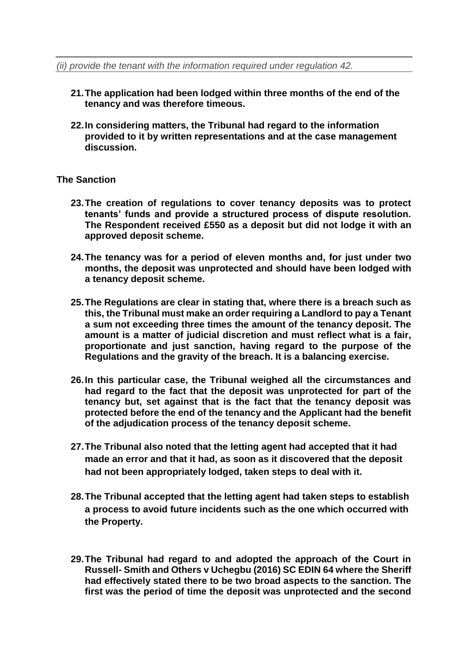- **21.The application had been lodged within three months of the end of the tenancy and was therefore timeous.**
- **22.In considering matters, the Tribunal had regard to the information provided to it by written representations and at the case management discussion.**

# **The Sanction**

- **23.The creation of regulations to cover tenancy deposits was to protect tenants' funds and provide a structured process of dispute resolution. The Respondent received £550 as a deposit but did not lodge it with an approved deposit scheme.**
- **24.The tenancy was for a period of eleven months and, for just under two months, the deposit was unprotected and should have been lodged with a tenancy deposit scheme.**
- **25.The Regulations are clear in stating that, where there is a breach such as this, the Tribunal must make an order requiring a Landlord to pay a Tenant a sum not exceeding three times the amount of the tenancy deposit. The amount is a matter of judicial discretion and must reflect what is a fair, proportionate and just sanction, having regard to the purpose of the Regulations and the gravity of the breach. It is a balancing exercise.**
- **26.In this particular case, the Tribunal weighed all the circumstances and had regard to the fact that the deposit was unprotected for part of the tenancy but, set against that is the fact that the tenancy deposit was protected before the end of the tenancy and the Applicant had the benefit of the adjudication process of the tenancy deposit scheme.**
- **27.The Tribunal also noted that the letting agent had accepted that it had made an error and that it had, as soon as it discovered that the deposit had not been appropriately lodged, taken steps to deal with it.**
- **28.The Tribunal accepted that the letting agent had taken steps to establish a process to avoid future incidents such as the one which occurred with the Property.**
- **29.The Tribunal had regard to and adopted the approach of the Court in Russell- Smith and Others v Uchegbu (2016) SC EDIN 64 where the Sheriff had effectively stated there to be two broad aspects to the sanction. The first was the period of time the deposit was unprotected and the second**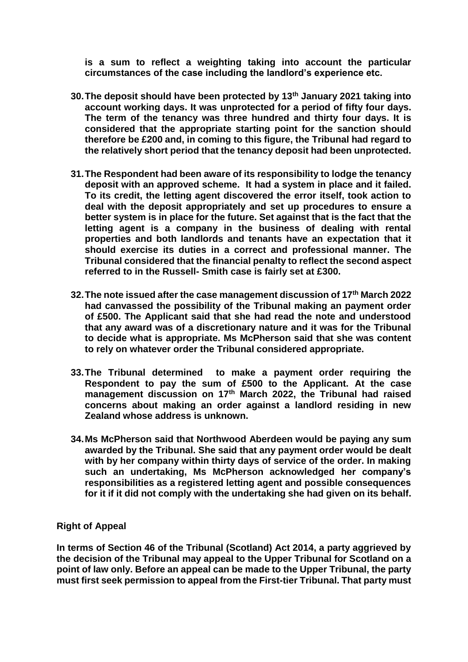**is a sum to reflect a weighting taking into account the particular circumstances of the case including the landlord's experience etc.** 

- **30.The deposit should have been protected by 13th January 2021 taking into account working days. It was unprotected for a period of fifty four days. The term of the tenancy was three hundred and thirty four days. It is considered that the appropriate starting point for the sanction should therefore be £200 and, in coming to this figure, the Tribunal had regard to the relatively short period that the tenancy deposit had been unprotected.**
- **31.The Respondent had been aware of its responsibility to lodge the tenancy deposit with an approved scheme. It had a system in place and it failed. To its credit, the letting agent discovered the error itself, took action to deal with the deposit appropriately and set up procedures to ensure a better system is in place for the future. Set against that is the fact that the letting agent is a company in the business of dealing with rental properties and both landlords and tenants have an expectation that it should exercise its duties in a correct and professional manner. The Tribunal considered that the financial penalty to reflect the second aspect referred to in the Russell- Smith case is fairly set at £300.**
- **32.The note issued after the case management discussion of 17th March 2022 had canvassed the possibility of the Tribunal making an payment order of £500. The Applicant said that she had read the note and understood that any award was of a discretionary nature and it was for the Tribunal to decide what is appropriate. Ms McPherson said that she was content to rely on whatever order the Tribunal considered appropriate.**
- **33.The Tribunal determined to make a payment order requiring the Respondent to pay the sum of £500 to the Applicant. At the case management discussion on 17th March 2022, the Tribunal had raised concerns about making an order against a landlord residing in new Zealand whose address is unknown.**
- **34.Ms McPherson said that Northwood Aberdeen would be paying any sum awarded by the Tribunal. She said that any payment order would be dealt with by her company within thirty days of service of the order. In making such an undertaking, Ms McPherson acknowledged her company's responsibilities as a registered letting agent and possible consequences for it if it did not comply with the undertaking she had given on its behalf.**

# **Right of Appeal**

**In terms of Section 46 of the Tribunal (Scotland) Act 2014, a party aggrieved by the decision of the Tribunal may appeal to the Upper Tribunal for Scotland on a point of law only. Before an appeal can be made to the Upper Tribunal, the party must first seek permission to appeal from the First-tier Tribunal. That party must**